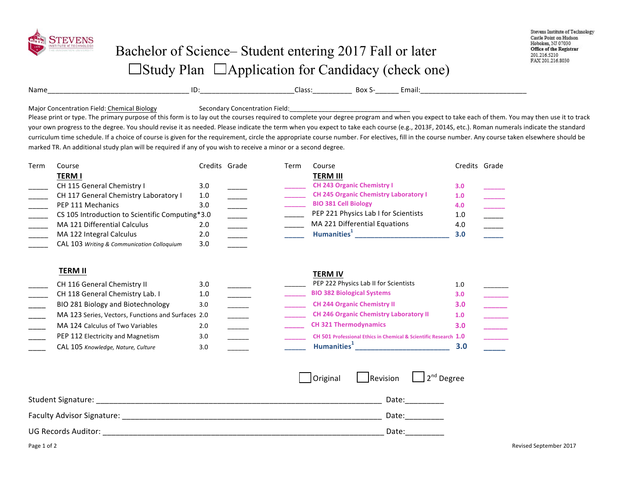

## Bachelor of Science– Student entering 2017 Fall or later  $\Box$ Study Plan  $\Box$ Application for Candidacy (check one)

| Name | . .<br><br>. . | ، عدا<br>. د ۱۹ | <b>D</b> へい<br>. אנו ה | :mail:        |
|------|----------------|-----------------|------------------------|---------------|
|      | ______         |                 |                        | _____________ |

Major Concentration Field: Chemical Biology Secondary Concentration Field:

Please print or type. The primary purpose of this form is to lay out the courses required to complete your degree program and when you expect to take each of them. You may then use it to track your own progress to the degree. You should revise it as needed. Please indicate the term when you expect to take each course (e.g., 2013F, 2014S, etc.). Roman numerals indicate the standard curriculum time schedule. If a choice of course is given for the requirement, circle the appropriate course number. For electives, fill in the course number. Any course taken elsewhere should be marked TR. An additional study plan will be required if any of you wish to receive a minor or a second degree.

| Term | Course                                             | Credits Grade | Term | Course                                                           | Credits Grade |  |
|------|----------------------------------------------------|---------------|------|------------------------------------------------------------------|---------------|--|
|      | <b>TERM I</b>                                      |               |      | <b>TERM III</b>                                                  |               |  |
|      | CH 115 General Chemistry I                         | 3.0           |      | <b>CH 243 Organic Chemistry I</b>                                | 3.0           |  |
|      | CH 117 General Chemistry Laboratory I              | 1.0           |      | <b>CH 245 Organic Chemistry Laboratory I</b>                     | 1.0           |  |
|      | PEP 111 Mechanics                                  | 3.0           |      | <b>BIO 381 Cell Biology</b>                                      | 4.0           |  |
|      | CS 105 Introduction to Scientific Computing*3.0    |               |      | PEP 221 Physics Lab I for Scientists                             | 1.0           |  |
|      | MA 121 Differential Calculus                       | 2.0           |      | MA 221 Differential Equations                                    | 4.0           |  |
|      | MA 122 Integral Calculus                           | 2.0           |      | Humanities <sup>1</sup>                                          | 3.0           |  |
|      | CAL 103 Writing & Communication Colloquium         | 3.0           |      |                                                                  |               |  |
|      |                                                    |               |      |                                                                  |               |  |
|      | <b>TERM II</b>                                     |               |      | <b>TERM IV</b>                                                   |               |  |
|      | CH 116 General Chemistry II                        | 3.0           |      | PEP 222 Physics Lab II for Scientists                            | 1.0           |  |
|      | CH 118 General Chemistry Lab. I                    | 1.0           |      | <b>BIO 382 Biological Systems</b>                                | 3.0           |  |
|      | BIO 281 Biology and Biotechnology                  | 3.0           |      | <b>CH 244 Organic Chemistry II</b>                               | 3.0           |  |
|      | MA 123 Series, Vectors, Functions and Surfaces 2.0 |               |      | <b>CH 246 Organic Chemistry Laboratory II</b>                    | 1.0           |  |
|      | MA 124 Calculus of Two Variables                   | 2.0           |      | <b>CH 321 Thermodynamics</b>                                     | 3.0           |  |
|      | PEP 112 Electricity and Magnetism                  | 3.0           |      | CH 501 Professional Ethics in Chemical & Scientific Research 1.0 |               |  |
|      | CAL 105 Knowledge, Nature, Culture                 | 3.0           |      | Humanities <sup>1</sup> _______________________                  | 3.0           |  |
|      |                                                    |               |      |                                                                  |               |  |
|      |                                                    |               |      |                                                                  |               |  |
|      |                                                    |               |      | 2 <sup>nd</sup> Degree<br>Original<br>Revision                   |               |  |
|      |                                                    |               |      |                                                                  |               |  |

| <b>Student Signature:</b>  | Date                  |
|----------------------------|-----------------------|
| Faculty Advisor Signature: | Date                  |
| <b>UG Records Auditor:</b> | Date<br>_____________ |